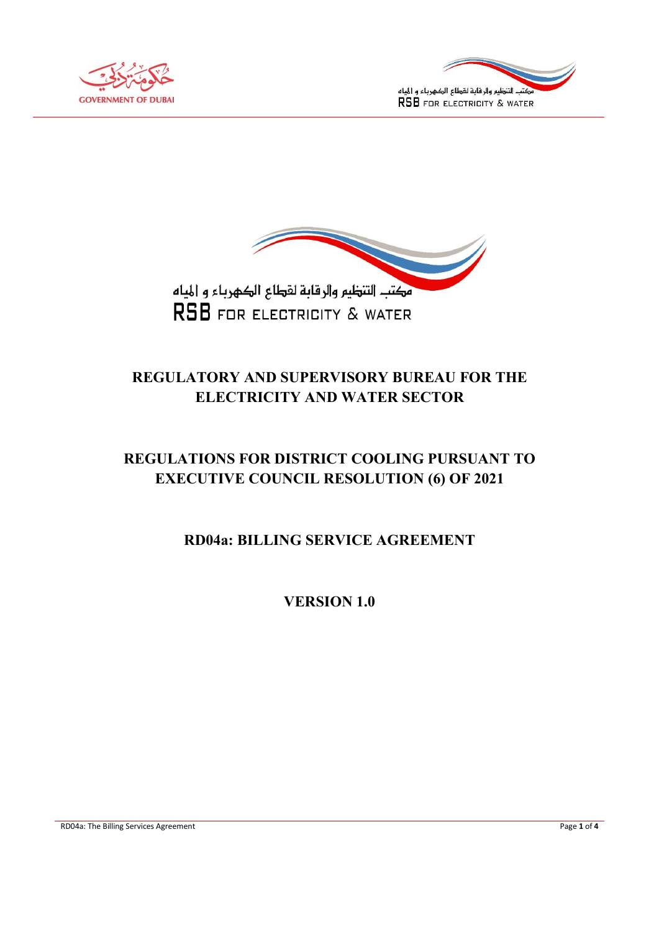





# REGULATORY AND SUPERVISORY BUREAU FOR THE ELECTRICITY AND WATER SECTOR

# REGULATIONS FOR DISTRICT COOLING PURSUANT TO EXECUTIVE COUNCIL RESOLUTION (6) OF 2021

RD04a: BILLING SERVICE AGREEMENT

VERSION 1.0

RD04a: The Billing Services Agreement Page 1 of 4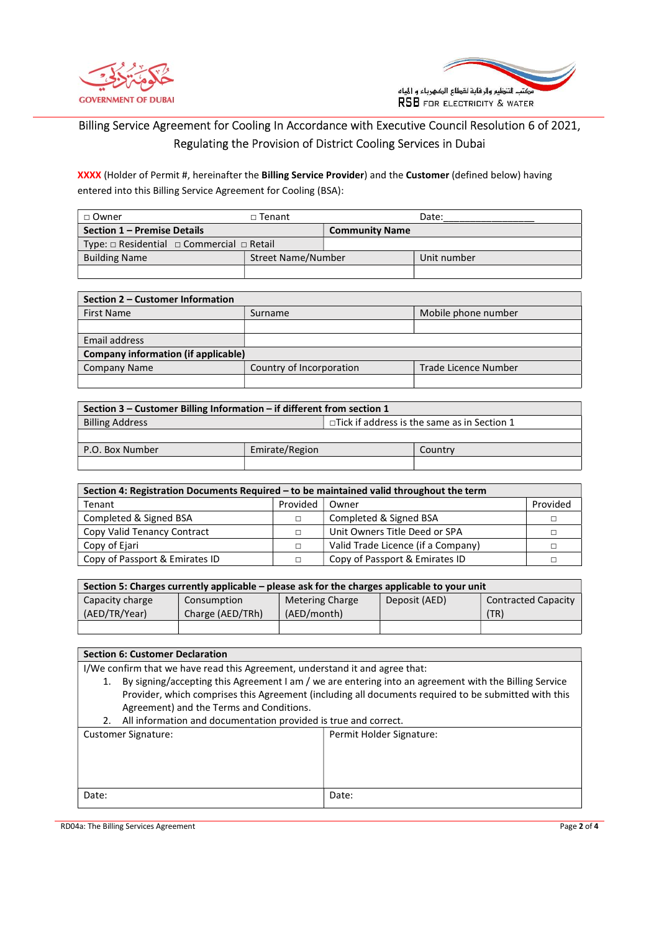



# Billing Service Agreement for Cooling In Accordance with Executive Council Resolution 6 of 2021, Regulating the Provision of District Cooling Services in Dubai

XXXX (Holder of Permit #, hereinafter the Billing Service Provider) and the Customer (defined below) having entered into this Billing Service Agreement for Cooling (BSA):

| □ Owner                                                  | $\Box$ Tenant      |                       | Date:       |
|----------------------------------------------------------|--------------------|-----------------------|-------------|
| Section 1 - Premise Details                              |                    | <b>Community Name</b> |             |
| Type: $\Box$ Residential $\Box$ Commercial $\Box$ Retail |                    |                       |             |
| <b>Building Name</b>                                     | Street Name/Number |                       | Unit number |
|                                                          |                    |                       |             |

| Section 2 – Customer Information           |                          |                      |  |  |
|--------------------------------------------|--------------------------|----------------------|--|--|
| <b>First Name</b>                          | Surname                  | Mobile phone number  |  |  |
|                                            |                          |                      |  |  |
| Email address                              |                          |                      |  |  |
| <b>Company information (if applicable)</b> |                          |                      |  |  |
| Company Name                               | Country of Incorporation | Trade Licence Number |  |  |
|                                            |                          |                      |  |  |

| Section 3 – Customer Billing Information – if different from section 1 |                |                                                    |         |  |
|------------------------------------------------------------------------|----------------|----------------------------------------------------|---------|--|
| <b>Billing Address</b>                                                 |                | $\Box$ Tick if address is the same as in Section 1 |         |  |
|                                                                        |                |                                                    |         |  |
| P.O. Box Number                                                        | Emirate/Region |                                                    | Country |  |
|                                                                        |                |                                                    |         |  |

| Section 4: Registration Documents Required - to be maintained valid throughout the term |          |                                    |          |
|-----------------------------------------------------------------------------------------|----------|------------------------------------|----------|
| Tenant                                                                                  | Provided | Owner                              | Provided |
| Completed & Signed BSA                                                                  | Г        | Completed & Signed BSA             |          |
| Copy Valid Tenancy Contract                                                             | $\Box$   | Unit Owners Title Deed or SPA      |          |
| Copy of Ejari                                                                           |          | Valid Trade Licence (if a Company) |          |
| Copy of Passport & Emirates ID                                                          |          | Copy of Passport & Emirates ID     |          |

| Section 5: Charges currently applicable – please ask for the charges applicable to your unit |                  |                        |               |                            |
|----------------------------------------------------------------------------------------------|------------------|------------------------|---------------|----------------------------|
| Capacity charge                                                                              | Consumption      | <b>Metering Charge</b> | Deposit (AED) | <b>Contracted Capacity</b> |
| (AED/TR/Year)                                                                                | Charge (AED/TRh) | (AED/month)            |               | (TR)                       |
|                                                                                              |                  |                        |               |                            |

Section 6: Customer Declaration

I/We confirm that we have read this Agreement, understand it and agree that:

1. By signing/accepting this Agreement I am / we are entering into an agreement with the Billing Service Provider, which comprises this Agreement (including all documents required to be submitted with this Agreement) and the Terms and Conditions.

2. All information and documentation provided is true and correct.

| <b>Customer Signature:</b> | Permit Holder Signature: |
|----------------------------|--------------------------|
|                            |                          |
|                            |                          |
|                            |                          |
| Date:                      | Date:                    |
|                            |                          |

RD04a: The Billing Services Agreement Page 2 of 4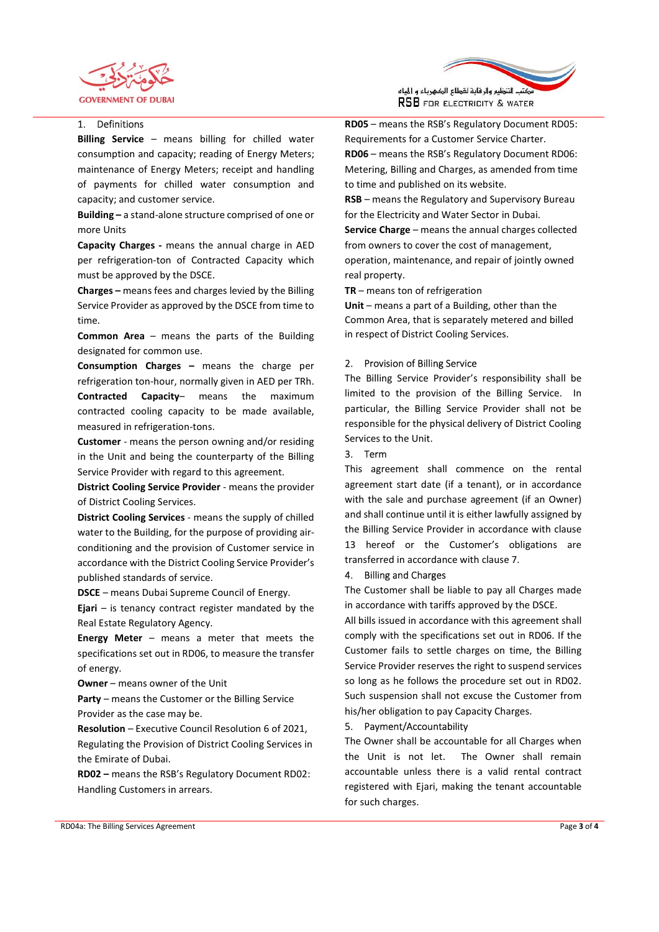



#### 1. Definitions

Billing Service - means billing for chilled water consumption and capacity; reading of Energy Meters; maintenance of Energy Meters; receipt and handling of payments for chilled water consumption and capacity; and customer service.

Building – a stand-alone structure comprised of one or more Units

Capacity Charges - means the annual charge in AED per refrigeration-ton of Contracted Capacity which must be approved by the DSCE.

Charges – means fees and charges levied by the Billing Service Provider as approved by the DSCE from time to time.

Common Area – means the parts of the Building designated for common use.

Consumption Charges – means the charge per refrigeration ton-hour, normally given in AED per TRh. Contracted Capacity– means the maximum contracted cooling capacity to be made available, measured in refrigeration-tons.

Customer - means the person owning and/or residing in the Unit and being the counterparty of the Billing Service Provider with regard to this agreement.

District Cooling Service Provider - means the provider of District Cooling Services.

District Cooling Services - means the supply of chilled water to the Building, for the purpose of providing airconditioning and the provision of Customer service in accordance with the District Cooling Service Provider's published standards of service.

DSCE – means Dubai Supreme Council of Energy.

**Ejari** – is tenancy contract register mandated by the Real Estate Regulatory Agency.

Energy Meter – means a meter that meets the specifications set out in RD06, to measure the transfer of energy.

Owner – means owner of the Unit

Party – means the Customer or the Billing Service Provider as the case may be.

Resolution – Executive Council Resolution 6 of 2021, Regulating the Provision of District Cooling Services in the Emirate of Dubai.

RD02 – means the RSB's Regulatory Document RD02: Handling Customers in arrears.

RD05 – means the RSB's Regulatory Document RD05: Requirements for a Customer Service Charter.

RD06 – means the RSB's Regulatory Document RD06: Metering, Billing and Charges, as amended from time to time and published on its website.

RSB – means the Regulatory and Supervisory Bureau for the Electricity and Water Sector in Dubai.

Service Charge – means the annual charges collected from owners to cover the cost of management, operation, maintenance, and repair of jointly owned real property.

TR – means ton of refrigeration

Unit – means a part of a Building, other than the Common Area, that is separately metered and billed in respect of District Cooling Services.

#### 2. Provision of Billing Service

The Billing Service Provider's responsibility shall be limited to the provision of the Billing Service. In particular, the Billing Service Provider shall not be responsible for the physical delivery of District Cooling Services to the Unit.

#### 3. Term

This agreement shall commence on the rental agreement start date (if a tenant), or in accordance with the sale and purchase agreement (if an Owner) and shall continue until it is either lawfully assigned by the Billing Service Provider in accordance with clause 13 hereof or the Customer's obligations are transferred in accordance with clause 7.

#### 4. Billing and Charges

The Customer shall be liable to pay all Charges made in accordance with tariffs approved by the DSCE.

All bills issued in accordance with this agreement shall comply with the specifications set out in RD06. If the Customer fails to settle charges on time, the Billing Service Provider reserves the right to suspend services so long as he follows the procedure set out in RD02. Such suspension shall not excuse the Customer from his/her obligation to pay Capacity Charges.

# 5. Payment/Accountability

The Owner shall be accountable for all Charges when the Unit is not let. The Owner shall remain accountable unless there is a valid rental contract registered with Ejari, making the tenant accountable for such charges.